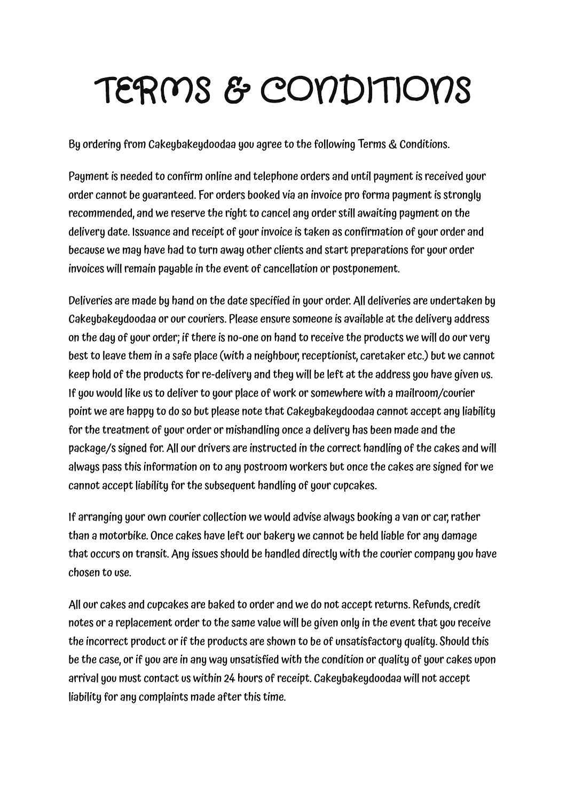## TERMS & CONDITIONS

By ordering from Cakeybakeydoodaa you agree to the following Terms & Conditions.

Payment is needed to confirm online and telephone orders and until payment is received your order cannot be guaranteed. For orders booked via an invoice pro forma payment is strongly recommended, and we reserve the right to cancel any order still awaiting payment on the delivery date. Issuance and receipt of your invoice is taken as confirmation of your order and because we may have had to turn away other clients and start preparations for your order invoices will remain payable in the event of cancellation or postponement.

Deliveries are made by hand on the date specified in your order. All deliveries are undertaken by Cakeybakeydoodaa or our couriers. Please ensure someone is available atthe delivery address on the day of your order; if there is no-one on hand to receive the products we will do our very best to leave them in a safe place (with a neighbour, receptionist, caretaker etc.) but we cannot keep hold of the products for re-delivery and they will be left at the address you have given us. If you would like us to deliverto your place of work or somewhere with a mailroom/courier point we are happy to do so but please note that Cakeybakeydoodaa cannot accept any liability for the treatment of your order or mishandling once a delivery has been made and the package/s signed for. All our drivers are instructed in the correct handling of the cakes and will always pass this information on to any postroom workers but once the cakes are signed for we cannot accept liability for the subsequent handling of your cupcakes.

If arranging your own courier collection we would advise always booking a van or car,rather than a motorbike. Once cakes have left our bakery we cannot be held liable for any damage that occurs on transit. Any issues should be handled directly with the courier company you have chosen to use.

All our cakes and cupcakes are baked to order and we do not accept returns. Refunds, credit notes or a replacement order to the same value will be given only in the event that you receive the incorrect product or if the products are shown to be of unsatisfactory quality. Should this be the case, or if you are in any way unsatisfied with the condition or quality of your cakes upon arrival you must contact us within 24 hours of receipt. Cakeybakeydoodaa will not accept liability for any complaints made after this time.